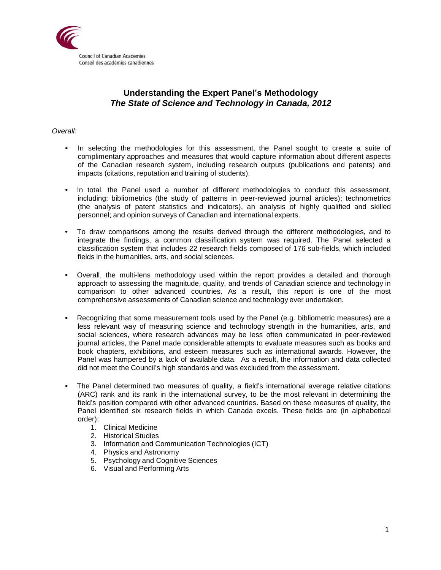

# **Understanding the Expert Panel's Methodology** *The State of Science and Technology in Canada, 2012*

# *Overall:*

- In selecting the methodologies for this assessment, the Panel sought to create a suite of complimentary approaches and measures that would capture information about different aspects of the Canadian research system, including research outputs (publications and patents) and impacts (citations, reputation and training of students).
- In total, the Panel used a number of different methodologies to conduct this assessment, including: bibliometrics (the study of patterns in peer-reviewed journal articles); technometrics (the analysis of patent statistics and indicators), an analysis of highly qualified and skilled personnel; and opinion surveys of Canadian and international experts.
- To draw comparisons among the results derived through the different methodologies, and to integrate the findings, a common classification system was required. The Panel selected a classification system that includes 22 research fields composed of 176 sub-fields, which included fields in the humanities, arts, and social sciences.
- Overall, the multi-lens methodology used within the report provides a detailed and thorough approach to assessing the magnitude, quality, and trends of Canadian science and technology in comparison to other advanced countries. As a result, this report is one of the most comprehensive assessments of Canadian science and technology ever undertaken.
- Recognizing that some measurement tools used by the Panel (e.g. bibliometric measures) are a less relevant way of measuring science and technology strength in the humanities, arts, and social sciences, where research advances may be less often communicated in peer-reviewed journal articles, the Panel made considerable attempts to evaluate measures such as books and book chapters, exhibitions, and esteem measures such as international awards. However, the Panel was hampered by a lack of available data. As a result, the information and data collected did not meet the Council's high standards and was excluded from the assessment.
- The Panel determined two measures of quality, a field's international average relative citations (ARC) rank and its rank in the international survey, to be the most relevant in determining the field's position compared with other advanced countries. Based on these measures of quality, the Panel identified six research fields in which Canada excels. These fields are (in alphabetical order):
	- 1. Clinical Medicine
	- 2. Historical Studies
	- 3. Information and Communication Technologies (ICT)
	- 4. Physics and Astronomy
	- 5. Psychology and Cognitive Sciences
	- 6. Visual and Performing Arts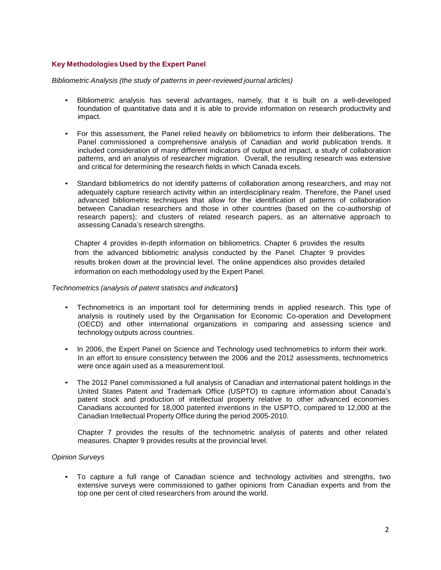# **Key Methodologies Used by the Expert Panel**

*Bibliometric Analysis (the study of patterns in peer-reviewed journal articles)*

- Bibliometric analysis has several advantages, namely, that it is built on a well-developed foundation of quantitative data and it is able to provide information on research productivity and impact.
- For this assessment, the Panel relied heavily on bibliometrics to inform their deliberations. The Panel commissioned a comprehensive analysis of Canadian and world publication trends. It included consideration of many different indicators of output and impact, a study of collaboration patterns, and an analysis of researcher migration. Overall, the resulting research was extensive and critical for determining the research fields in which Canada excels.
- Standard bibliometrics do not identify patterns of collaboration among researchers, and may not adequately capture research activity within an interdisciplinary realm. Therefore, the Panel used advanced bibliometric techniques that allow for the identification of patterns of collaboration between Canadian researchers and those in other countries (based on the co-authorship of research papers); and clusters of related research papers, as an alternative approach to assessing Canada's research strengths.

Chapter 4 provides in-depth information on bibliometrics. Chapter 6 provides the results from the advanced bibliometric analysis conducted by the Panel. Chapter 9 provides results broken down at the provincial level. The online appendices also provides detailed information on each methodology used by the Expert Panel.

#### *Technometrics (analysis of patent statistics and indicators***)**

- Technometrics is an important tool for determining trends in applied research. This type of analysis is routinely used by the Organisation for Economic Co-operation and Development (OECD) and other international organizations in comparing and assessing science and technology outputs across countries.
- In 2006, the Expert Panel on Science and Technology used technometrics to inform their work. In an effort to ensure consistency between the 2006 and the 2012 assessments, technometrics were once again used as a measurement tool.
- The 2012 Panel commissioned a full analysis of Canadian and international patent holdings in the United States Patent and Trademark Office (USPTO) to capture information about Canada's patent stock and production of intellectual property relative to other advanced economies. Canadians accounted for 18,000 patented inventions in the USPTO, compared to 12,000 at the Canadian Intellectual Property Office during the period 2005-2010.

Chapter 7 provides the results of the technometric analysis of patents and other related measures. Chapter 9 provides results at the provincial level.

### *Opinion Surveys*

• To capture a full range of Canadian science and technology activities and strengths, two extensive surveys were commissioned to gather opinions from Canadian experts and from the top one per cent of cited researchers from around the world.